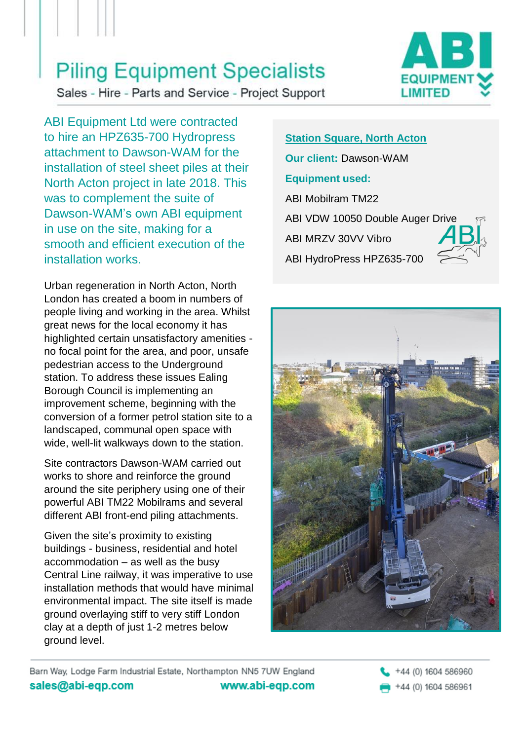Sales - Hire - Parts and Service - Project Support



ABI Equipment Ltd were contracted to hire an HPZ635-700 Hydropress attachment to Dawson-WAM for the installation of steel sheet piles at their North Acton project in late 2018. This was to complement the suite of Dawson-WAM's own ABI equipment in use on the site, making for a smooth and efficient execution of the installation works.

Urban regeneration in North Acton, North London has created a boom in numbers of people living and working in the area. Whilst great news for the local economy it has highlighted certain unsatisfactory amenities no focal point for the area, and poor, unsafe pedestrian access to the Underground station. To address these issues Ealing Borough Council is implementing an improvement scheme, beginning with the conversion of a former petrol station site to a landscaped, communal open space with wide, well-lit walkways down to the station.

Site contractors Dawson-WAM carried out works to shore and reinforce the ground around the site periphery using one of their powerful ABI TM22 Mobilrams and several different ABI front-end piling attachments.

Given the site's proximity to existing buildings - business, residential and hotel accommodation – as well as the busy Central Line railway, it was imperative to use installation methods that would have minimal environmental impact. The site itself is made ground overlaying stiff to very stiff London clay at a depth of just 1-2 metres below ground level.

**Station Square, North Acton Our client:** Dawson-WAM **Equipment used:** ABI Mobilram TM22 ABI VDW 10050 Double Auger Drive ABI MRZV 30VV Vibro ABI HydroPress HPZ635-700



Barn Way, Lodge Farm Industrial Estate, Northampton NN5 7UW England sales@abi-eqp.com www.abi-eqp.com

+44 (0) 1604 586960 +44 (0) 1604 586961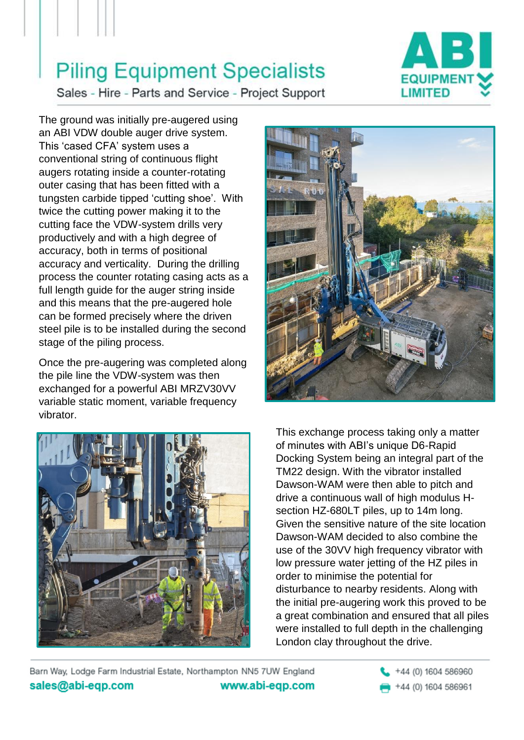

Sales - Hire - Parts and Service - Project Support

The ground was initially pre-augered using an ABI VDW double auger drive system. This 'cased CFA' system uses a conventional string of continuous flight augers rotating inside a counter-rotating outer casing that has been fitted with a tungsten carbide tipped 'cutting shoe'. With twice the cutting power making it to the cutting face the VDW-system drills very productively and with a high degree of accuracy, both in terms of positional accuracy and verticality. During the drilling process the counter rotating casing acts as a full length guide for the auger string inside and this means that the pre-augered hole can be formed precisely where the driven steel pile is to be installed during the second stage of the piling process.

Once the pre-augering was completed along the pile line the VDW-system was then exchanged for a powerful ABI MRZV30VV variable static moment, variable frequency vibrator.





This exchange process taking only a matter of minutes with ABI's unique D6-Rapid Docking System being an integral part of the TM22 design. With the vibrator installed Dawson-WAM were then able to pitch and drive a continuous wall of high modulus Hsection HZ-680LT piles, up to 14m long. Given the sensitive nature of the site location Dawson-WAM decided to also combine the use of the 30VV high frequency vibrator with low pressure water jetting of the HZ piles in order to minimise the potential for disturbance to nearby residents. Along with the initial pre-augering work this proved to be a great combination and ensured that all piles were installed to full depth in the challenging London clay throughout the drive.

Barn Way, Lodge Farm Industrial Estate, Northampton NN5 7UW England sales@abi-eqp.com www.abi-eqp.com

+44 (0) 1604 586960

+44 (0) 1604 586961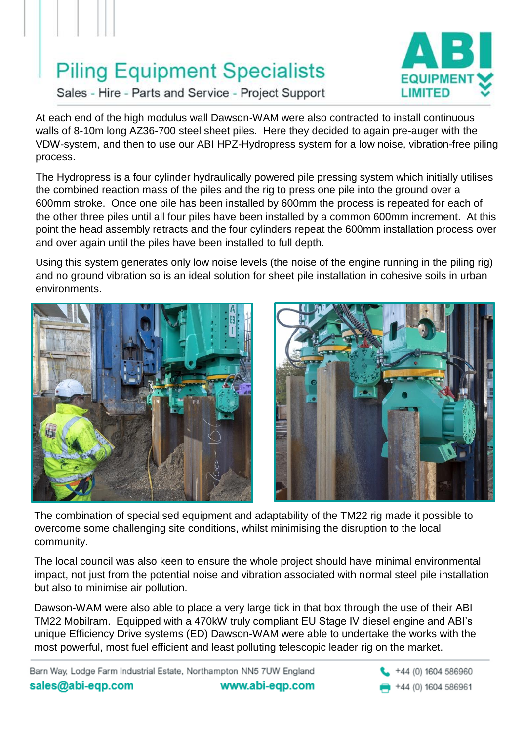

Sales - Hire - Parts and Service - Project Support

At each end of the high modulus wall Dawson-WAM were also contracted to install continuous walls of 8-10m long AZ36-700 steel sheet piles. Here they decided to again pre-auger with the VDW-system, and then to use our ABI HPZ-Hydropress system for a low noise, vibration-free piling process.

The Hydropress is a four cylinder hydraulically powered pile pressing system which initially utilises the combined reaction mass of the piles and the rig to press one pile into the ground over a 600mm stroke. Once one pile has been installed by 600mm the process is repeated for each of the other three piles until all four piles have been installed by a common 600mm increment. At this point the head assembly retracts and the four cylinders repeat the 600mm installation process over and over again until the piles have been installed to full depth.

Using this system generates only low noise levels (the noise of the engine running in the piling rig) and no ground vibration so is an ideal solution for sheet pile installation in cohesive soils in urban environments.





The combination of specialised equipment and adaptability of the TM22 rig made it possible to overcome some challenging site conditions, whilst minimising the disruption to the local community.

The local council was also keen to ensure the whole project should have minimal environmental impact, not just from the potential noise and vibration associated with normal steel pile installation but also to minimise air pollution.

Dawson-WAM were also able to place a very large tick in that box through the use of their ABI TM22 Mobilram. Equipped with a 470kW truly compliant EU Stage IV diesel engine and ABI's unique Efficiency Drive systems (ED) Dawson-WAM were able to undertake the works with the most powerful, most fuel efficient and least polluting telescopic leader rig on the market.

Barn Way, Lodge Farm Industrial Estate, Northampton NN5 7UW England sales@abi-eqp.com www.abi-eqp.com

+44 (0) 1604 586960 +44 (0) 1604 586961